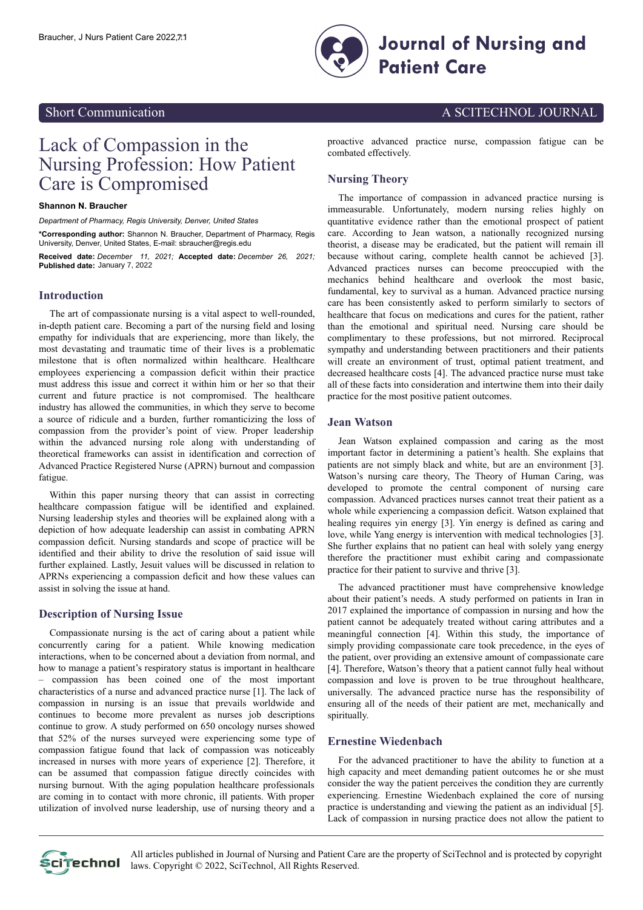

## Short Communication **A SCITECHNOL JOURNAL**

# Lack of Compassion in the Nursing Profession: How Patient Care is Compromised

#### **Shannon N. Braucher**

*Department of Pharmacy, Regis University, Denver, United States*

**\*Corresponding author:** Shannon N. Braucher, Department of Pharmacy, Regis University, Denver, United States, E-mail: sbraucher@regis.edu

**Received date:** *December 11, 2021;* **Accepted date:** *December 26, 2021;* **Published date:** January 7, 2022

### **Introduction**

The art of compassionate nursing is a vital aspect to well-rounded, in-depth patient care. Becoming a part of the nursing field and losing empathy for individuals that are experiencing, more than likely, the most devastating and traumatic time of their lives is a problematic milestone that is often normalized within healthcare. Healthcare employees experiencing a compassion deficit within their practice must address this issue and correct it within him or her so that their current and future practice is not compromised. The healthcare industry has allowed the communities, in which they serve to become a source of ridicule and a burden, further romanticizing the loss of compassion from the provider's point of view. Proper leadership within the advanced nursing role along with understanding of theoretical frameworks can assist in identification and correction of Advanced Practice Registered Nurse (APRN) burnout and compassion fatigue.

Within this paper nursing theory that can assist in correcting healthcare compassion fatigue will be identified and explained. Nursing leadership styles and theories will be explained along with a depiction of how adequate leadership can assist in combating APRN compassion deficit. Nursing standards and scope of practice will be identified and their ability to drive the resolution of said issue will further explained. Lastly, Jesuit values will be discussed in relation to APRNs experiencing a compassion deficit and how these values can assist in solving the issue at hand.

#### **Description of Nursing Issue**

Compassionate nursing is the act of caring about a patient while concurrently caring for a patient. While knowing medication interactions, when to be concerned about a deviation from normal, and how to manage a patient's respiratory status is important in healthcare – compassion has been coined one of the most important characteristics of a nurse and advanced practice nurse [1]. The lack of compassion in nursing is an issue that prevails worldwide and continues to become more prevalent as nurses job descriptions continue to grow. A study performed on 650 oncology nurses showed that 52% of the nurses surveyed were experiencing some type of compassion fatigue found that lack of compassion was noticeably increased in nurses with more years of experience [2]. Therefore, it can be assumed that compassion fatigue directly coincides with nursing burnout. With the aging population healthcare professionals are coming in to contact with more chronic, ill patients. With proper utilization of involved nurse leadership, use of nursing theory and a

proactive advanced practice nurse, compassion fatigue can be combated effectively.

## **Nursing Theory**

The importance of compassion in advanced practice nursing is immeasurable. Unfortunately, modern nursing relies highly on quantitative evidence rather than the emotional prospect of patient care. According to Jean watson, a nationally recognized nursing theorist, a disease may be eradicated, but the patient will remain ill because without caring, complete health cannot be achieved [3]. Advanced practices nurses can become preoccupied with the mechanics behind healthcare and overlook the most basic, fundamental, key to survival as a human. Advanced practice nursing care has been consistently asked to perform similarly to sectors of healthcare that focus on medications and cures for the patient, rather than the emotional and spiritual need. Nursing care should be complimentary to these professions, but not mirrored. Reciprocal sympathy and understanding between practitioners and their patients will create an environment of trust, optimal patient treatment, and decreased healthcare costs [4]. The advanced practice nurse must take all of these facts into consideration and intertwine them into their daily practice for the most positive patient outcomes.

## **Jean Watson**

Jean Watson explained compassion and caring as the most important factor in determining a patient's health. She explains that patients are not simply black and white, but are an environment [3]. Watson's nursing care theory, The Theory of Human Caring, was developed to promote the central component of nursing care compassion. Advanced practices nurses cannot treat their patient as a whole while experiencing a compassion deficit. Watson explained that healing requires yin energy [3]. Yin energy is defined as caring and love, while Yang energy is intervention with medical technologies [3]. She further explains that no patient can heal with solely yang energy therefore the practitioner must exhibit caring and compassionate practice for their patient to survive and thrive [3].

The advanced practitioner must have comprehensive knowledge about their patient's needs. A study performed on patients in Iran in 2017 explained the importance of compassion in nursing and how the patient cannot be adequately treated without caring attributes and a meaningful connection [4]. Within this study, the importance of simply providing compassionate care took precedence, in the eyes of the patient, over providing an extensive amount of compassionate care [4]. Therefore, Watson's theory that a patient cannot fully heal without compassion and love is proven to be true throughout healthcare, universally. The advanced practice nurse has the responsibility of ensuring all of the needs of their patient are met, mechanically and spiritually.

#### **Ernestine Wiedenbach**

For the advanced practitioner to have the ability to function at a high capacity and meet demanding patient outcomes he or she must consider the way the patient perceives the condition they are currently experiencing. Ernestine Wiedenbach explained the core of nursing practice is understanding and viewing the patient as an individual [5]. Lack of compassion in nursing practice does not allow the patient to

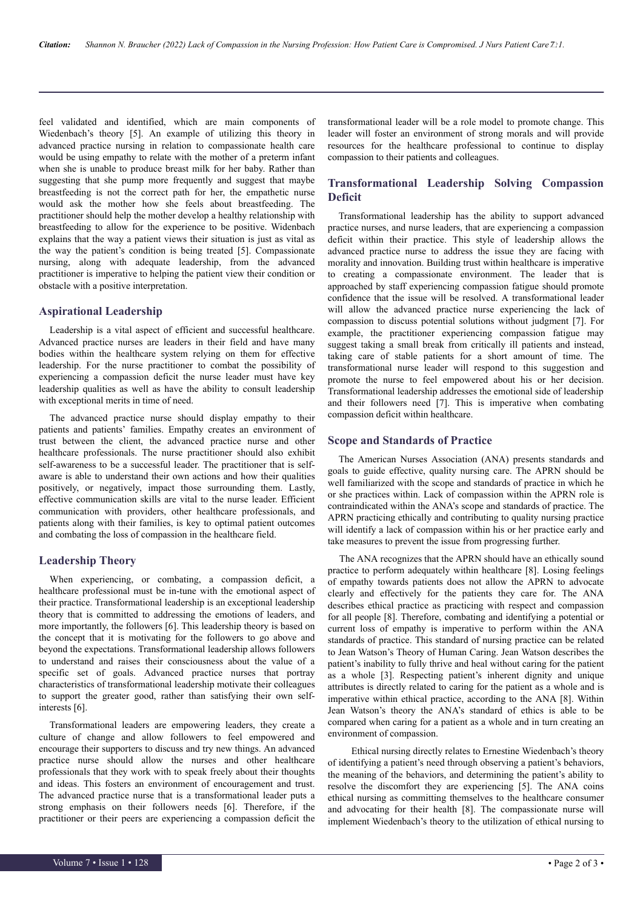feel validated and identified, which are main components of Wiedenbach's theory [5]. An example of utilizing this theory in advanced practice nursing in relation to compassionate health care would be using empathy to relate with the mother of a preterm infant when she is unable to produce breast milk for her baby. Rather than suggesting that she pump more frequently and suggest that maybe breastfeeding is not the correct path for her, the empathetic nurse would ask the mother how she feels about breastfeeding. The practitioner should help the mother develop a healthy relationship with breastfeeding to allow for the experience to be positive. Widenbach explains that the way a patient views their situation is just as vital as the way the patient's condition is being treated [5]. Compassionate nursing, along with adequate leadership, from the advanced practitioner is imperative to helping the patient view their condition or obstacle with a positive interpretation.

#### **Aspirational Leadership**

Leadership is a vital aspect of efficient and successful healthcare. Advanced practice nurses are leaders in their field and have many bodies within the healthcare system relying on them for effective leadership. For the nurse practitioner to combat the possibility of experiencing a compassion deficit the nurse leader must have key leadership qualities as well as have the ability to consult leadership with exceptional merits in time of need.

The advanced practice nurse should display empathy to their patients and patients' families. Empathy creates an environment of trust between the client, the advanced practice nurse and other healthcare professionals. The nurse practitioner should also exhibit self-awareness to be a successful leader. The practitioner that is selfaware is able to understand their own actions and how their qualities positively, or negatively, impact those surrounding them. Lastly, effective communication skills are vital to the nurse leader. Efficient communication with providers, other healthcare professionals, and patients along with their families, is key to optimal patient outcomes and combating the loss of compassion in the healthcare field.

## **Leadership Theory**

When experiencing, or combating, a compassion deficit, a healthcare professional must be in-tune with the emotional aspect of their practice. Transformational leadership is an exceptional leadership theory that is committed to addressing the emotions of leaders, and more importantly, the followers [6]. This leadership theory is based on the concept that it is motivating for the followers to go above and beyond the expectations. Transformational leadership allows followers to understand and raises their consciousness about the value of a specific set of goals. Advanced practice nurses that portray characteristics of transformational leadership motivate their colleagues to support the greater good, rather than satisfying their own selfinterests [6].

Transformational leaders are empowering leaders, they create a culture of change and allow followers to feel empowered and encourage their supporters to discuss and try new things. An advanced practice nurse should allow the nurses and other healthcare professionals that they work with to speak freely about their thoughts and ideas. This fosters an environment of encouragement and trust. The advanced practice nurse that is a transformational leader puts a strong emphasis on their followers needs [6]. Therefore, if the practitioner or their peers are experiencing a compassion deficit the

transformational leader will be a role model to promote change. This leader will foster an environment of strong morals and will provide resources for the healthcare professional to continue to display compassion to their patients and colleagues.

## **Transformational Leadership Solving Compassion Deficit**

Transformational leadership has the ability to support advanced practice nurses, and nurse leaders, that are experiencing a compassion deficit within their practice. This style of leadership allows the advanced practice nurse to address the issue they are facing with morality and innovation. Building trust within healthcare is imperative to creating a compassionate environment. The leader that is approached by staff experiencing compassion fatigue should promote confidence that the issue will be resolved. A transformational leader will allow the advanced practice nurse experiencing the lack of compassion to discuss potential solutions without judgment [7]. For example, the practitioner experiencing compassion fatigue may suggest taking a small break from critically ill patients and instead, taking care of stable patients for a short amount of time. The transformational nurse leader will respond to this suggestion and promote the nurse to feel empowered about his or her decision. Transformational leadership addresses the emotional side of leadership and their followers need [7]. This is imperative when combating compassion deficit within healthcare.

#### **Scope and Standards of Practice**

The American Nurses Association (ANA) presents standards and goals to guide effective, quality nursing care. The APRN should be well familiarized with the scope and standards of practice in which he or she practices within. Lack of compassion within the APRN role is contraindicated within the ANA's scope and standards of practice. The APRN practicing ethically and contributing to quality nursing practice will identify a lack of compassion within his or her practice early and take measures to prevent the issue from progressing further.

The ANA recognizes that the APRN should have an ethically sound practice to perform adequately within healthcare [8]. Losing feelings of empathy towards patients does not allow the APRN to advocate clearly and effectively for the patients they care for. The ANA describes ethical practice as practicing with respect and compassion for all people [8]. Therefore, combating and identifying a potential or current loss of empathy is imperative to perform within the ANA standards of practice. This standard of nursing practice can be related to Jean Watson's Theory of Human Caring. Jean Watson describes the patient's inability to fully thrive and heal without caring for the patient as a whole [3]. Respecting patient's inherent dignity and unique attributes is directly related to caring for the patient as a whole and is imperative within ethical practice, according to the ANA [8]. Within Jean Watson's theory the ANA's standard of ethics is able to be compared when caring for a patient as a whole and in turn creating an environment of compassion.

Ethical nursing directly relates to Ernestine Wiedenbach's theory of identifying a patient's need through observing a patient's behaviors, the meaning of the behaviors, and determining the patient's ability to resolve the discomfort they are experiencing [5]. The ANA coins ethical nursing as committing themselves to the healthcare consumer and advocating for their health [8]. The compassionate nurse will implement Wiedenbach's theory to the utilization of ethical nursing to